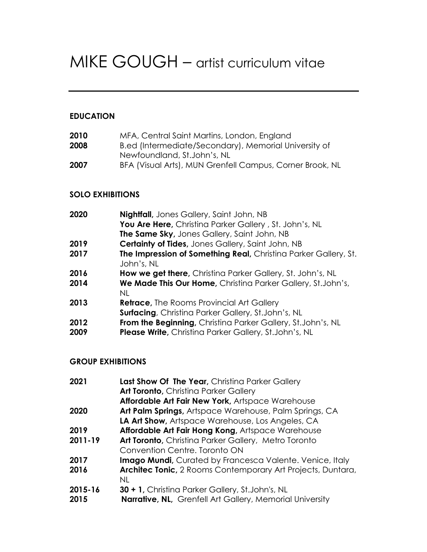# MIKE GOUGH – artist curriculum vitae

# **EDUCATION**

| MFA, Central Saint Martins, London, England              |
|----------------------------------------------------------|
| B.ed (Intermediate/Secondary), Memorial University of    |
| Newfoundland, St.John's, NL                              |
| BFA (Visual Arts), MUN Grenfell Campus, Corner Brook, NL |
|                                                          |

## **SOLO EXHIBITIONS**

| 2020         | <b>Nightfall</b> , Jones Gallery, Saint John, NB<br>You Are Here, Christina Parker Gallery, St. John's, NL<br>The Same Sky, Jones Gallery, Saint John, NB |
|--------------|-----------------------------------------------------------------------------------------------------------------------------------------------------------|
| 2019         | <b>Certainty of Tides, Jones Gallery, Saint John, NB</b>                                                                                                  |
| 2017         | The Impression of Something Real, Christina Parker Gallery, St.<br>John's, NL                                                                             |
| 2016         | How we get there, Christina Parker Gallery, St. John's, NL                                                                                                |
| 2014         | We Made This Our Home, Christina Parker Gallery, St.John's,<br>NL                                                                                         |
| 2013         | <b>Retrace, The Rooms Provincial Art Gallery</b><br><b>Surfacing</b> , Christina Parker Gallery, St.John's, NL                                            |
| 2012<br>2009 | From the Beginning, Christina Parker Gallery, St.John's, NL<br>Please Write, Christina Parker Gallery, St.John's, NL                                      |

## **GROUP EXHIBITIONS**

| 2021    | Last Show Of The Year, Christina Parker Gallery                  |
|---------|------------------------------------------------------------------|
|         | <b>Art Toronto, Christina Parker Gallery</b>                     |
|         | Affordable Art Fair New York, Artspace Warehouse                 |
| 2020    | Art Palm Springs, Artspace Warehouse, Palm Springs, CA           |
|         | LA Art Show, Artspace Warehouse, Los Angeles, CA                 |
| 2019    | Affordable Art Fair Hong Kong, Artspace Warehouse                |
| 2011-19 | Art Toronto, Christina Parker Gallery, Metro Toronto             |
|         | Convention Centre, Toronto ON                                    |
| 2017    | <b>Imago Mundi</b> , Curated by Francesca Valente. Venice, Italy |
| 2016    | Architec Tonic, 2 Rooms Contemporary Art Projects, Duntara,      |
|         | NL.                                                              |
| 2015-16 | <b>30 + 1, Christina Parker Gallery, St.John's, NL</b>           |
| 2015    | <b>Narrative, NL, Grenfell Art Gallery, Memorial University</b>  |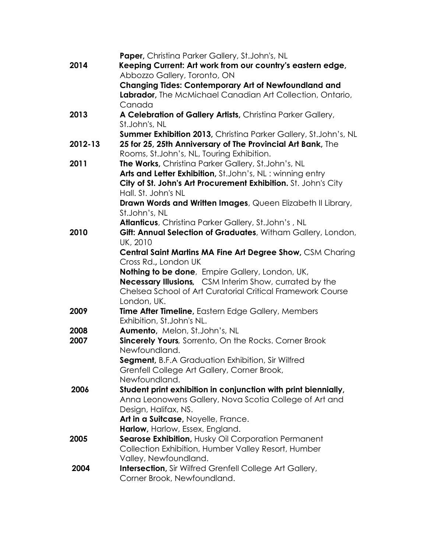|         | Paper, Christina Parker Gallery, St.John's, NL                  |
|---------|-----------------------------------------------------------------|
| 2014    | Keeping Current: Art work from our country's eastern edge,      |
|         | Abbozzo Gallery, Toronto, ON                                    |
|         | <b>Changing Tides: Contemporary Art of Newfoundland and</b>     |
|         | Labrador, The McMichael Canadian Art Collection, Ontario,       |
|         | Canada                                                          |
| 2013    | A Celebration of Gallery Artists, Christina Parker Gallery,     |
|         | St.John's, NL                                                   |
|         | Summer Exhibition 2013, Christina Parker Gallery, St.John's, NL |
| 2012-13 | 25 for 25, 25th Anniversary of The Provincial Art Bank, The     |
|         | Rooms, St.John's, NL, Touring Exhibition.                       |
| 2011    | The Works, Christina Parker Gallery, St.John's, NL              |
|         | Arts and Letter Exhibition, St.John's, NL: winning entry        |
|         | City of St. John's Art Procurement Exhibition. St. John's City  |
|         | Hall. St. John's NL                                             |
|         | Drawn Words and Written Images, Queen Elizabeth II Library,     |
|         | St.John's, NL                                                   |
|         | Atlanticus, Christina Parker Gallery, St.John's, NL             |
| 2010    | Gift: Annual Selection of Graduates, Witham Gallery, London,    |
|         | UK, 2010                                                        |
|         | Central Saint Martins MA Fine Art Degree Show, CSM Charing      |
|         | Cross Rd., London UK                                            |
|         | Nothing to be done, Empire Gallery, London, UK,                 |
|         | Necessary Illusions, CSM Interim Show, currated by the          |
|         | Chelsea School of Art Curatorial Critical Framework Course      |
|         | London, UK.                                                     |
| 2009    | Time After Timeline, Eastern Edge Gallery, Members              |
|         | Exhibition, St.John's NL.                                       |
| 2008    | Aumento, Melon, St.John's, NL                                   |
| 2007    | <b>Sincerely Yours</b> , Sorrento, On the Rocks. Corner Brook   |
|         | Newfoundland.                                                   |
|         | Segment, B.F.A Graduation Exhibition, Sir Wilfred               |
|         | Grenfell College Art Gallery, Corner Brook,                     |
|         | Newfoundland.                                                   |
| 2006    | Student print exhibition in conjunction with print biennially,  |
|         | Anna Leonowens Gallery, Nova Scotia College of Art and          |
|         | Design, Halifax, NS.                                            |
|         | Art in a Suitcase, Noyelle, France.                             |
|         | Harlow, Harlow, Essex, England.                                 |
| 2005    | Searose Exhibition, Husky Oil Corporation Permanent             |
|         | Collection Exhibition, Humber Valley Resort, Humber             |
|         | Valley, Newfoundland.                                           |
| 2004    | <b>Intersection</b> , Sir Wilfred Grenfell College Art Gallery, |
|         | Corner Brook, Newfoundland.                                     |